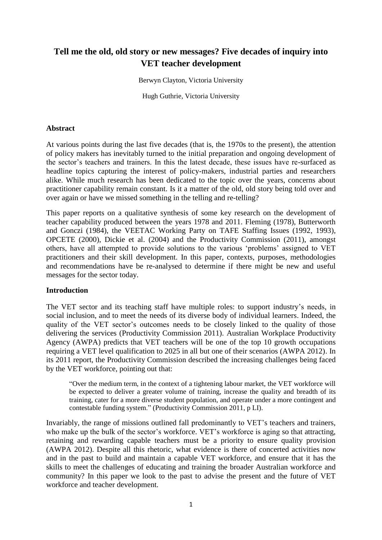# **Tell me the old, old story or new messages? Five decades of inquiry into VET teacher development**

Berwyn Clayton, Victoria University

Hugh Guthrie, Victoria University

# **Abstract**

At various points during the last five decades (that is, the 1970s to the present), the attention of policy makers has inevitably turned to the initial preparation and ongoing development of the sector's teachers and trainers. In this the latest decade, these issues have re-surfaced as headline topics capturing the interest of policy-makers, industrial parties and researchers alike. While much research has been dedicated to the topic over the years, concerns about practitioner capability remain constant. Is it a matter of the old, old story being told over and over again or have we missed something in the telling and re-telling?

This paper reports on a qualitative synthesis of some key research on the development of teacher capability produced between the years 1978 and 2011. Fleming (1978), Butterworth and Gonczi (1984), the VEETAC Working Party on TAFE Staffing Issues (1992, 1993), OPCETE (2000), Dickie et al. (2004) and the Productivity Commission (2011), amongst others, have all attempted to provide solutions to the various 'problems' assigned to VET practitioners and their skill development. In this paper, contexts, purposes, methodologies and recommendations have be re-analysed to determine if there might be new and useful messages for the sector today.

#### **Introduction**

The VET sector and its teaching staff have multiple roles: to support industry's needs, in social inclusion, and to meet the needs of its diverse body of individual learners. Indeed, the quality of the VET sector's outcomes needs to be closely linked to the quality of those delivering the services (Productivity Commission 2011). Australian Workplace Productivity Agency (AWPA) predicts that VET teachers will be one of the top 10 growth occupations requiring a VET level qualification to 2025 in all but one of their scenarios (AWPA 2012). In its 2011 report, the Productivity Commission described the increasing challenges being faced by the VET workforce, pointing out that:

"Over the medium term, in the context of a tightening labour market, the VET workforce will be expected to deliver a greater volume of training, increase the quality and breadth of its training, cater for a more diverse student population, and operate under a more contingent and contestable funding system." (Productivity Commission 2011, p LI).

Invariably, the range of missions outlined fall predominantly to VET's teachers and trainers, who make up the bulk of the sector's workforce. VET's workforce is aging so that attracting, retaining and rewarding capable teachers must be a priority to ensure quality provision (AWPA 2012). Despite all this rhetoric, what evidence is there of concerted activities now and in the past to build and maintain a capable VET workforce, and ensure that it has the skills to meet the challenges of educating and training the broader Australian workforce and community? In this paper we look to the past to advise the present and the future of VET workforce and teacher development.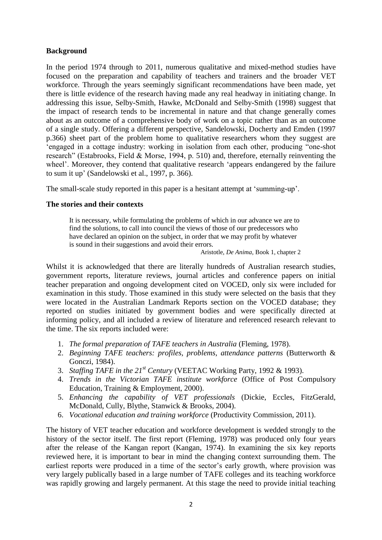# **Background**

In the period 1974 through to 2011, numerous qualitative and mixed-method studies have focused on the preparation and capability of teachers and trainers and the broader VET workforce. Through the years seemingly significant recommendations have been made, yet there is little evidence of the research having made any real headway in initiating change. In addressing this issue, Selby-Smith, Hawke, McDonald and Selby-Smith (1998) suggest that the impact of research tends to be incremental in nature and that change generally comes about as an outcome of a comprehensive body of work on a topic rather than as an outcome of a single study. Offering a different perspective, Sandelowski, Docherty and Emden (1997 p.366) sheet part of the problem home to qualitative researchers whom they suggest are 'engaged in a cottage industry: working in isolation from each other, producing "one-shot research" (Estabrooks, Field & Morse, 1994, p. 510) and, therefore, eternally reinventing the wheel'. Moreover, they contend that qualitative research 'appears endangered by the failure to sum it up' (Sandelowski et al., 1997, p. 366).

The small-scale study reported in this paper is a hesitant attempt at 'summing-up'.

#### **The stories and their contexts**

It is necessary, while formulating the problems of which in our advance we are to find the solutions, to call into council the views of those of our predecessors who have declared an opinion on the subject, in order that we may profit by whatever is sound in their suggestions and avoid their errors.

#### Aristotle, *De Anima*, Book 1, chapter 2

Whilst it is acknowledged that there are literally hundreds of Australian research studies, government reports, literature reviews, journal articles and conference papers on initial teacher preparation and ongoing development cited on VOCED, only six were included for examination in this study. Those examined in this study were selected on the basis that they were located in the Australian Landmark Reports section on the VOCED database; they reported on studies initiated by government bodies and were specifically directed at informing policy, and all included a review of literature and referenced research relevant to the time. The six reports included were:

- 1. *The formal preparation of TAFE teachers in Australia* (Fleming, 1978).
- 2. *Beginning TAFE teachers: profiles, problems, attendance patterns* (Butterworth & Gonczi, 1984).
- 3. *Staffing TAFE in the 21st Century* (VEETAC Working Party, 1992 & 1993).
- 4. *Trends in the Victorian TAFE institute workforce* (Office of Post Compulsory Education, Training & Employment, 2000).
- 5. *Enhancing the capability of VET professionals* (Dickie, Eccles, FitzGerald, McDonald, Cully, Blythe, Stanwick & Brooks, 2004).
- 6. *Vocational education and training workforce* (Productivity Commission, 2011).

The history of VET teacher education and workforce development is wedded strongly to the history of the sector itself. The first report (Fleming, 1978) was produced only four years after the release of the Kangan report (Kangan, 1974). In examining the six key reports reviewed here, it is important to bear in mind the changing context surrounding them. The earliest reports were produced in a time of the sector's early growth, where provision was very largely publically based in a large number of TAFE colleges and its teaching workforce was rapidly growing and largely permanent. At this stage the need to provide initial teaching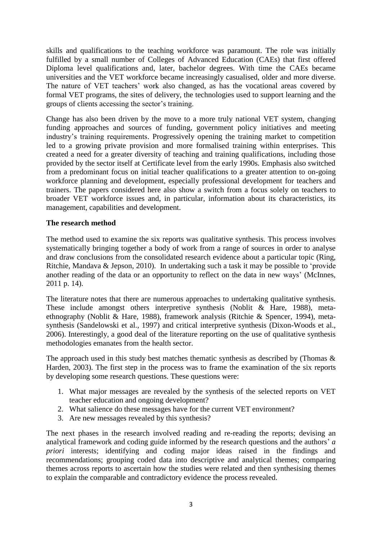skills and qualifications to the teaching workforce was paramount. The role was initially fulfilled by a small number of Colleges of Advanced Education (CAEs) that first offered Diploma level qualifications and, later, bachelor degrees. With time the CAEs became universities and the VET workforce became increasingly casualised, older and more diverse. The nature of VET teachers' work also changed, as has the vocational areas covered by formal VET programs, the sites of delivery, the technologies used to support learning and the groups of clients accessing the sector's training.

Change has also been driven by the move to a more truly national VET system, changing funding approaches and sources of funding, government policy initiatives and meeting industry's training requirements. Progressively opening the training market to competition led to a growing private provision and more formalised training within enterprises. This created a need for a greater diversity of teaching and training qualifications, including those provided by the sector itself at Certificate level from the early 1990s. Emphasis also switched from a predominant focus on initial teacher qualifications to a greater attention to on-going workforce planning and development, especially professional development for teachers and trainers. The papers considered here also show a switch from a focus solely on teachers to broader VET workforce issues and, in particular, information about its characteristics, its management, capabilities and development.

# **The research method**

The method used to examine the six reports was qualitative synthesis. This process involves systematically bringing together a body of work from a range of sources in order to analyse and draw conclusions from the consolidated research evidence about a particular topic (Ring, Ritchie, Mandava & Jepson, 2010). In undertaking such a task it may be possible to 'provide another reading of the data or an opportunity to reflect on the data in new ways' (McInnes, 2011 p. 14).

The literature notes that there are numerous approaches to undertaking qualitative synthesis. These include amongst others interpretive synthesis (Noblit & Hare, 1988), metaethnography (Noblit & Hare, 1988), framework analysis (Ritchie & Spencer, 1994), metasynthesis (Sandelowski et al., 1997) and critical interpretive synthesis (Dixon-Woods et al., 2006). Interestingly, a good deal of the literature reporting on the use of qualitative synthesis methodologies emanates from the health sector.

The approach used in this study best matches thematic synthesis as described by (Thomas & Harden, 2003). The first step in the process was to frame the examination of the six reports by developing some research questions. These questions were:

- 1. What major messages are revealed by the synthesis of the selected reports on VET teacher education and ongoing development?
- 2. What salience do these messages have for the current VET environment?
- 3. Are new messages revealed by this synthesis?

The next phases in the research involved reading and re-reading the reports; devising an analytical framework and coding guide informed by the research questions and the authors' *a priori* interests; identifying and coding major ideas raised in the findings and recommendations; grouping coded data into descriptive and analytical themes; comparing themes across reports to ascertain how the studies were related and then synthesising themes to explain the comparable and contradictory evidence the process revealed.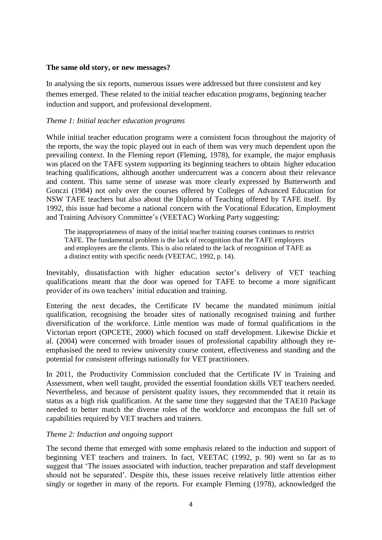#### **The same old story, or new messages?**

In analysing the six reports, numerous issues were addressed but three consistent and key themes emerged. These related to the initial teacher education programs, beginning teacher induction and support, and professional development.

# *Theme 1: Initial teacher education programs*

While initial teacher education programs were a consistent focus throughout the majority of the reports, the way the topic played out in each of them was very much dependent upon the prevailing context. In the Fleming report (Fleming, 1978), for example, the major emphasis was placed on the TAFE system supporting its beginning teachers to obtain higher education teaching qualifications, although another undercurrent was a concern about their relevance and content. This same sense of unease was more clearly expressed by Butterworth and Gonczi (1984) not only over the courses offered by Colleges of Advanced Education for NSW TAFE teachers but also about the Diploma of Teaching offered by TAFE itself. By 1992, this issue had become a national concern with the Vocational Education, Employment and Training Advisory Committee's (VEETAC) Working Party suggesting:

The inappropriateness of many of the initial teacher training courses continues to restrict TAFE. The fundamental problem is the lack of recognition that the TAFE employers and employees are the clients. This is also related to the lack of recognition of TAFE as a distinct entity with specific needs (VEETAC, 1992, p. 14).

Inevitably, dissatisfaction with higher education sector's delivery of VET teaching qualifications meant that the door was opened for TAFE to become a more significant provider of its own teachers' initial education and training.

Entering the next decades, the Certificate IV became the mandated minimum initial qualification, recognising the broader sites of nationally recognised training and further diversification of the workforce. Little mention was made of formal qualifications in the Victorian report (OPCETE, 2000) which focused on staff development. Likewise Dickie et al. (2004) were concerned with broader issues of professional capability although they reemphasised the need to review university course content, effectiveness and standing and the potential for consistent offerings nationally for VET practitioners.

In 2011, the Productivity Commission concluded that the Certificate IV in Training and Assessment, when well taught, provided the essential foundation skills VET teachers needed. Nevertheless, and because of persistent quality issues, they recommended that it retain its status as a high risk qualification. At the same time they suggested that the TAE10 Package needed to better match the diverse roles of the workforce and encompass the full set of capabilities required by VET teachers and trainers.

#### *Theme 2: Induction and ongoing support*

The second theme that emerged with some emphasis related to the induction and support of beginning VET teachers and trainers. In fact, VEETAC (1992, p. 90) went so far as to suggest that 'The issues associated with induction, teacher preparation and staff development should not be separated'. Despite this, these issues receive relatively little attention either singly or together in many of the reports. For example Fleming (1978), acknowledged the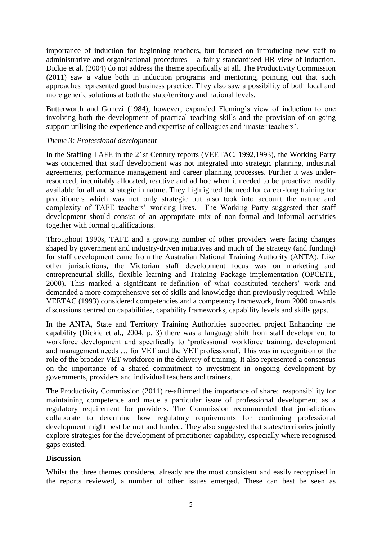importance of induction for beginning teachers, but focused on introducing new staff to administrative and organisational procedures – a fairly standardised HR view of induction. Dickie et al. (2004) do not address the theme specifically at all. The Productivity Commission (2011) saw a value both in induction programs and mentoring, pointing out that such approaches represented good business practice. They also saw a possibility of both local and more generic solutions at both the state/territory and national levels.

Butterworth and Gonczi (1984), however, expanded Fleming's view of induction to one involving both the development of practical teaching skills and the provision of on-going support utilising the experience and expertise of colleagues and 'master teachers'.

# *Theme 3: Professional development*

In the Staffing TAFE in the 21st Century reports (VEETAC, 1992,1993), the Working Party was concerned that staff development was not integrated into strategic planning, industrial agreements, performance management and career planning processes. Further it was underresourced, inequitably allocated, reactive and ad hoc when it needed to be proactive, readily available for all and strategic in nature. They highlighted the need for career-long training for practitioners which was not only strategic but also took into account the nature and complexity of TAFE teachers' working lives. The Working Party suggested that staff development should consist of an appropriate mix of non-formal and informal activities together with formal qualifications.

Throughout 1990s, TAFE and a growing number of other providers were facing changes shaped by government and industry-driven initiatives and much of the strategy (and funding) for staff development came from the Australian National Training Authority (ANTA). Like other jurisdictions, the Victorian staff development focus was on marketing and entrepreneurial skills, flexible learning and Training Package implementation (OPCETE, 2000). This marked a significant re-definition of what constituted teachers' work and demanded a more comprehensive set of skills and knowledge than previously required. While VEETAC (1993) considered competencies and a competency framework, from 2000 onwards discussions centred on capabilities, capability frameworks, capability levels and skills gaps.

In the ANTA, State and Territory Training Authorities supported project Enhancing the capability (Dickie et al., 2004, p. 3) there was a language shift from staff development to workforce development and specifically to 'professional workforce training, development and management needs … for VET and the VET professional'. This was in recognition of the role of the broader VET workforce in the delivery of training. It also represented a consensus on the importance of a shared commitment to investment in ongoing development by governments, providers and individual teachers and trainers.

The Productivity Commission (2011) re-affirmed the importance of shared responsibility for maintaining competence and made a particular issue of professional development as a regulatory requirement for providers. The Commission recommended that jurisdictions collaborate to determine how regulatory requirements for continuing professional development might best be met and funded. They also suggested that states/territories jointly explore strategies for the development of practitioner capability, especially where recognised gaps existed.

#### **Discussion**

Whilst the three themes considered already are the most consistent and easily recognised in the reports reviewed, a number of other issues emerged. These can best be seen as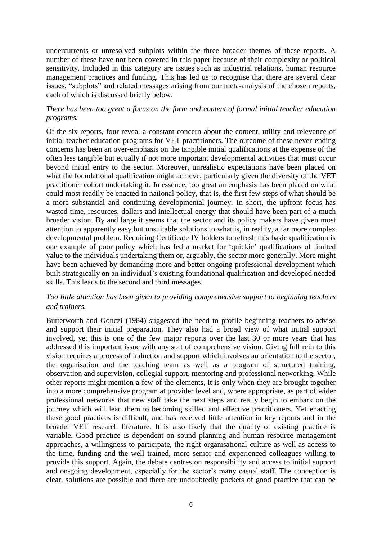undercurrents or unresolved subplots within the three broader themes of these reports. A number of these have not been covered in this paper because of their complexity or political sensitivity. Included in this category are issues such as industrial relations, human resource management practices and funding. This has led us to recognise that there are several clear issues, "subplots" and related messages arising from our meta-analysis of the chosen reports, each of which is discussed briefly below.

# *There has been too great a focus on the form and content of formal initial teacher education programs.*

Of the six reports, four reveal a constant concern about the content, utility and relevance of initial teacher education programs for VET practitioners. The outcome of these never-ending concerns has been an over-emphasis on the tangible initial qualifications at the expense of the often less tangible but equally if not more important developmental activities that must occur beyond initial entry to the sector. Moreover, unrealistic expectations have been placed on what the foundational qualification might achieve, particularly given the diversity of the VET practitioner cohort undertaking it. In essence, too great an emphasis has been placed on what could most readily be enacted in national policy, that is, the first few steps of what should be a more substantial and continuing developmental journey. In short, the upfront focus has wasted time, resources, dollars and intellectual energy that should have been part of a much broader vision. By and large it seems that the sector and its policy makers have given most attention to apparently easy but unsuitable solutions to what is, in reality, a far more complex developmental problem. Requiring Certificate IV holders to refresh this basic qualification is one example of poor policy which has fed a market for 'quickie' qualifications of limited value to the individuals undertaking them or, arguably, the sector more generally. More might have been achieved by demanding more and better ongoing professional development which built strategically on an individual's existing foundational qualification and developed needed skills. This leads to the second and third messages.

# *Too little attention has been given to providing comprehensive support to beginning teachers and trainers.*

Butterworth and Gonczi (1984) suggested the need to profile beginning teachers to advise and support their initial preparation. They also had a broad view of what initial support involved, yet this is one of the few major reports over the last 30 or more years that has addressed this important issue with any sort of comprehensive vision. Giving full rein to this vision requires a process of induction and support which involves an orientation to the sector, the organisation and the teaching team as well as a program of structured training, observation and supervision, collegial support, mentoring and professional networking. While other reports might mention a few of the elements, it is only when they are brought together into a more comprehensive program at provider level and, where appropriate, as part of wider professional networks that new staff take the next steps and really begin to embark on the journey which will lead them to becoming skilled and effective practitioners. Yet enacting these good practices is difficult, and has received little attention in key reports and in the broader VET research literature. It is also likely that the quality of existing practice is variable. Good practice is dependent on sound planning and human resource management approaches, a willingness to participate, the right organisational culture as well as access to the time, funding and the well trained, more senior and experienced colleagues willing to provide this support. Again, the debate centres on responsibility and access to initial support and on-going development, especially for the sector's many casual staff. The conception is clear, solutions are possible and there are undoubtedly pockets of good practice that can be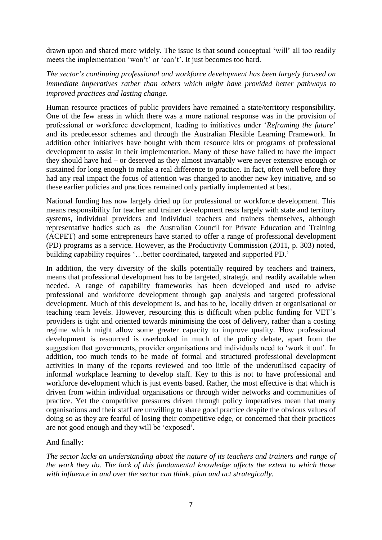drawn upon and shared more widely. The issue is that sound conceptual 'will' all too readily meets the implementation 'won't' or 'can't'. It just becomes too hard.

*The sector's continuing professional and workforce development has been largely focused on immediate imperatives rather than others which might have provided better pathways to improved practices and lasting change.*

Human resource practices of public providers have remained a state/territory responsibility. One of the few areas in which there was a more national response was in the provision of professional or workforce development, leading to initiatives under '*Reframing the future*' and its predecessor schemes and through the Australian Flexible Learning Framework. In addition other initiatives have bought with them resource kits or programs of professional development to assist in their implementation. Many of these have failed to have the impact they should have had – or deserved as they almost invariably were never extensive enough or sustained for long enough to make a real difference to practice. In fact, often well before they had any real impact the focus of attention was changed to another new key initiative, and so these earlier policies and practices remained only partially implemented at best.

National funding has now largely dried up for professional or workforce development. This means responsibility for teacher and trainer development rests largely with state and territory systems, individual providers and individual teachers and trainers themselves, although representative bodies such as the Australian Council for Private Education and Training (ACPET) and some entrepreneurs have started to offer a range of professional development (PD) programs as a service. However, as the Productivity Commission (2011, p. 303) noted, building capability requires '…better coordinated, targeted and supported PD.'

In addition, the very diversity of the skills potentially required by teachers and trainers, means that professional development has to be targeted, strategic and readily available when needed. A range of capability frameworks has been developed and used to advise professional and workforce development through gap analysis and targeted professional development. Much of this development is, and has to be, locally driven at organisational or teaching team levels. However, resourcing this is difficult when public funding for VET's providers is tight and oriented towards minimising the cost of delivery, rather than a costing regime which might allow some greater capacity to improve quality. How professional development is resourced is overlooked in much of the policy debate, apart from the suggestion that governments, provider organisations and individuals need to 'work it out'. In addition, too much tends to be made of formal and structured professional development activities in many of the reports reviewed and too little of the underutilised capacity of informal workplace learning to develop staff. Key to this is not to have professional and workforce development which is just events based. Rather, the most effective is that which is driven from within individual organisations or through wider networks and communities of practice. Yet the competitive pressures driven through policy imperatives mean that many organisations and their staff are unwilling to share good practice despite the obvious values of doing so as they are fearful of losing their competitive edge, or concerned that their practices are not good enough and they will be 'exposed'.

And finally:

*The sector lacks an understanding about the nature of its teachers and trainers and range of the work they do. The lack of this fundamental knowledge affects the extent to which those with influence in and over the sector can think, plan and act strategically.*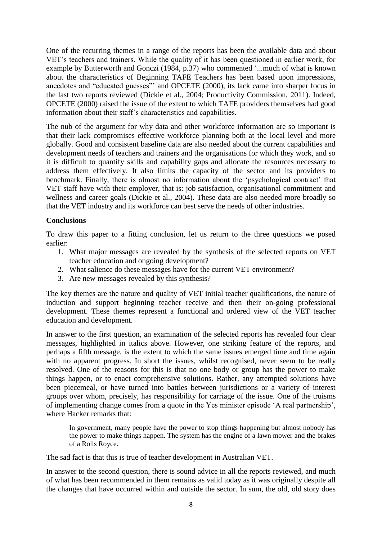One of the recurring themes in a range of the reports has been the available data and about VET's teachers and trainers. While the quality of it has been questioned in earlier work, for example by Butterworth and Gonczi (1984, p.37) who commented '...much of what is known about the characteristics of Beginning TAFE Teachers has been based upon impressions, anecdotes and "educated guesses"' and OPCETE (2000), its lack came into sharper focus in the last two reports reviewed (Dickie et al., 2004; Productivity Commission, 2011). Indeed, OPCETE (2000) raised the issue of the extent to which TAFE providers themselves had good information about their staff's characteristics and capabilities.

The nub of the argument for why data and other workforce information are so important is that their lack compromises effective workforce planning both at the local level and more globally. Good and consistent baseline data are also needed about the current capabilities and development needs of teachers and trainers and the organisations for which they work, and so it is difficult to quantify skills and capability gaps and allocate the resources necessary to address them effectively. It also limits the capacity of the sector and its providers to benchmark. Finally, there is almost no information about the 'psychological contract' that VET staff have with their employer, that is: job satisfaction, organisational commitment and wellness and career goals (Dickie et al., 2004). These data are also needed more broadly so that the VET industry and its workforce can best serve the needs of other industries.

# **Conclusions**

To draw this paper to a fitting conclusion, let us return to the three questions we posed earlier:

- 1. What major messages are revealed by the synthesis of the selected reports on VET teacher education and ongoing development?
- 2. What salience do these messages have for the current VET environment?
- 3. Are new messages revealed by this synthesis?

The key themes are the nature and quality of VET initial teacher qualifications, the nature of induction and support beginning teacher receive and then their on-going professional development. These themes represent a functional and ordered view of the VET teacher education and development.

In answer to the first question, an examination of the selected reports has revealed four clear messages, highlighted in italics above. However, one striking feature of the reports, and perhaps a fifth message, is the extent to which the same issues emerged time and time again with no apparent progress. In short the issues, whilst recognised, never seem to be really resolved. One of the reasons for this is that no one body or group has the power to make things happen, or to enact comprehensive solutions. Rather, any attempted solutions have been piecemeal, or have turned into battles between jurisdictions or a variety of interest groups over whom, precisely, has responsibility for carriage of the issue. One of the truisms of implementing change comes from a quote in the Yes minister episode 'A real partnership', where Hacker remarks that:

In government, many people have the power to stop things happening but almost nobody has the power to make things happen. The system has the engine of a lawn mower and the brakes of a Rolls Royce.

The sad fact is that this is true of teacher development in Australian VET.

In answer to the second question, there is sound advice in all the reports reviewed, and much of what has been recommended in them remains as valid today as it was originally despite all the changes that have occurred within and outside the sector. In sum, the old, old story does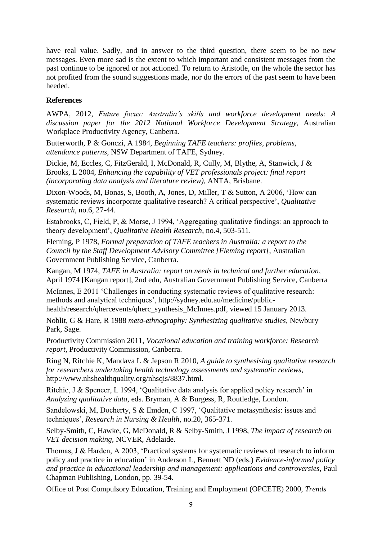have real value. Sadly, and in answer to the third question, there seem to be no new messages. Even more sad is the extent to which important and consistent messages from the past continue to be ignored or not actioned. To return to Aristotle, on the whole the sector has not profited from the sound suggestions made, nor do the errors of the past seem to have been heeded.

# **References**

AWPA, 2012, *Future focus: Australia's skills and workforce development needs: A discussion paper for the 2012 National Workforce Development Strategy*, Australian Workplace Productivity Agency, Canberra.

Butterworth, P & Gonczi, A 1984, *Beginning TAFE teachers: profiles, problems, attendance patterns*, NSW Department of TAFE, Sydney.

Dickie, M, Eccles, C, FitzGerald, I, McDonald, R, Cully, M, Blythe, A, Stanwick, J & Brooks, L 2004, *Enhancing the capability of VET professionals project: final report (incorporating data analysis and literature review)*, ANTA, Brisbane.

Dixon-Woods, M, Bonas, S, Booth, A, Jones, D, Miller, T & Sutton, A 2006, 'How can systematic reviews incorporate qualitative research? A critical perspective', *Qualitative Research,* no.6, 27-44.

Estabrooks, C, Field, P, & Morse, J 1994, 'Aggregating qualitative findings: an approach to theory development', *Qualitative Health Research*, no.4, 503-511.

Fleming, P 1978, *Formal preparation of TAFE teachers in Australia: a report to the Council by the Staff Development Advisory Committee [Fleming report]*, Australian Government Publishing Service, Canberra.

Kangan, M 1974, *TAFE in Australia: report on needs in technical and further education*, April 1974 [Kangan report], 2nd edn, Australian Government Publishing Service, Canberra

McInnes, E 2011 'Challenges in conducting systematic reviews of qualitative research: methods and analytical techniques', [http://sydney.edu.au/medicine/public](http://sydney.edu.au/medicine/public-health/research/qhercevents/qherc_synthesis_McInnes.pdf)[health/research/qhercevents/qherc\\_synthesis\\_McInnes.pdf,](http://sydney.edu.au/medicine/public-health/research/qhercevents/qherc_synthesis_McInnes.pdf) viewed 15 January 2013.

Noblit, G & Hare, R 1988 *meta-ethnography: Synthesizing qualitative studies*, Newbury Park, Sage.

Productivity Commission 2011, *Vocational education and training workforce: Research report*, Productivity Commission, Canberra.

Ring N, Ritchie K, Mandava L & Jepson R 2010, *A guide to synthesising qualitative research for researchers undertaking health technology assessments and systematic reviews*, http://www.nhshealthquality.org/nhsqis/8837.html.

Ritchie, J & Spencer, L 1994, 'Qualitative data analysis for applied policy research' in *Analyzing qualitative data*, eds. Bryman, A & Burgess, R, Routledge, London.

Sandelowski, M, Docherty, S & Emden, C 1997, 'Qualitative metasynthesis: issues and techniques', *Research in Nursing & Health*, no.20, 365-371.

Selby-Smith, C, Hawke, G, McDonald, R & Selby-Smith, J 1998, *The impact of research on VET decision making*, NCVER, Adelaide.

Thomas, J & Harden, A 2003, 'Practical systems for systematic reviews of research to inform policy and practice in education' in Anderson L, Bennett ND (eds.) *Evidence-informed policy and practice in educational leadership and management: applications and controversies*, Paul Chapman Publishing, London, pp. 39-54.

Office of Post Compulsory Education, Training and Employment (OPCETE) 2000, *Trends*